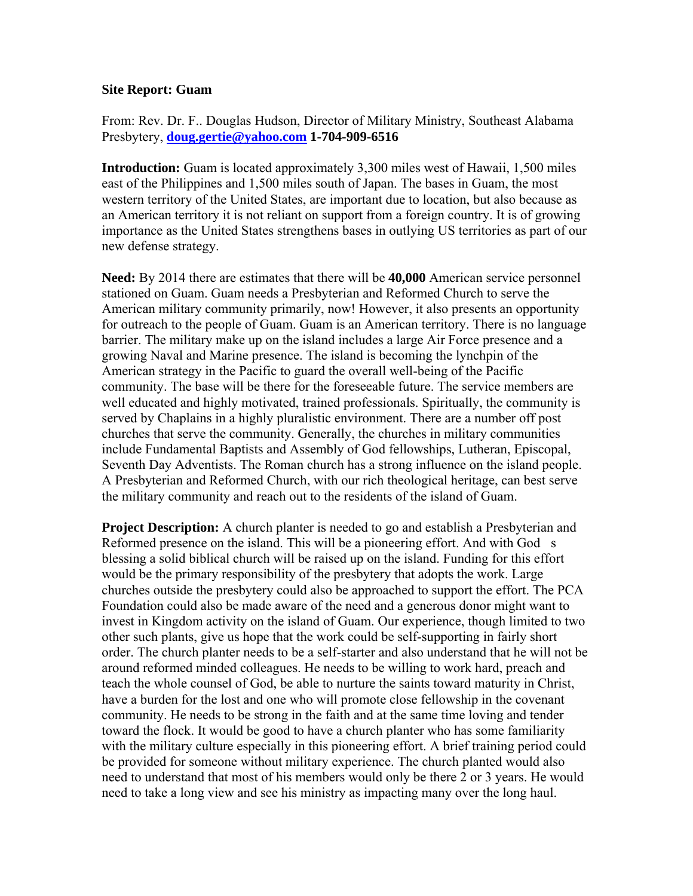## **Site Report: Guam**

From: Rev. Dr. F.. Douglas Hudson, Director of Military Ministry, Southeast Alabama Presbytery, **[doug.gertie@yahoo.com](mailto:doug.gertie@yahoo.com) 1-704-909-6516**

**Introduction:** Guam is located approximately 3,300 miles west of Hawaii, 1,500 miles east of the Philippines and 1,500 miles south of Japan. The bases in Guam, the most western territory of the United States, are important due to location, but also because as an American territory it is not reliant on support from a foreign country. It is of growing importance as the United States strengthens bases in outlying US territories as part of our new defense strategy.

**Need:** By 2014 there are estimates that there will be **40,000** American service personnel stationed on Guam. Guam needs a Presbyterian and Reformed Church to serve the American military community primarily, now! However, it also presents an opportunity for outreach to the people of Guam. Guam is an American territory. There is no language barrier. The military make up on the island includes a large Air Force presence and a growing Naval and Marine presence. The island is becoming the lynchpin of the American strategy in the Pacific to guard the overall well-being of the Pacific community. The base will be there for the foreseeable future. The service members are well educated and highly motivated, trained professionals. Spiritually, the community is served by Chaplains in a highly pluralistic environment. There are a number off post churches that serve the community. Generally, the churches in military communities include Fundamental Baptists and Assembly of God fellowships, Lutheran, Episcopal, Seventh Day Adventists. The Roman church has a strong influence on the island people. A Presbyterian and Reformed Church, with our rich theological heritage, can best serve the military community and reach out to the residents of the island of Guam.

**Project Description:** A church planter is needed to go and establish a Presbyterian and Reformed presence on the island. This will be a pioneering effort. And with God s blessing a solid biblical church will be raised up on the island. Funding for this effort would be the primary responsibility of the presbytery that adopts the work. Large churches outside the presbytery could also be approached to support the effort. The PCA Foundation could also be made aware of the need and a generous donor might want to invest in Kingdom activity on the island of Guam. Our experience, though limited to two other such plants, give us hope that the work could be self-supporting in fairly short order. The church planter needs to be a self-starter and also understand that he will not be around reformed minded colleagues. He needs to be willing to work hard, preach and teach the whole counsel of God, be able to nurture the saints toward maturity in Christ, have a burden for the lost and one who will promote close fellowship in the covenant community. He needs to be strong in the faith and at the same time loving and tender toward the flock. It would be good to have a church planter who has some familiarity with the military culture especially in this pioneering effort. A brief training period could be provided for someone without military experience. The church planted would also need to understand that most of his members would only be there 2 or 3 years. He would need to take a long view and see his ministry as impacting many over the long haul.